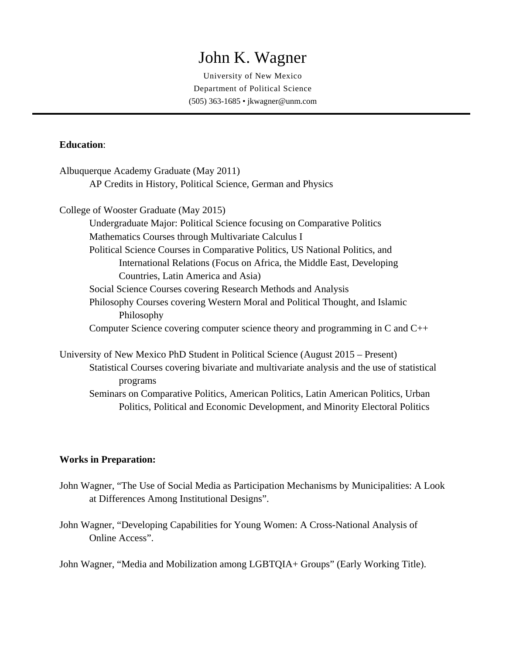# John K. Wagner

University of New Mexico Department of Political Science (505) 363-1685 • jkwagner@unm.com

# **Education**:

| Albuquerque Academy Graduate (May 2011)                                                    |
|--------------------------------------------------------------------------------------------|
| AP Credits in History, Political Science, German and Physics                               |
| College of Wooster Graduate (May 2015)                                                     |
| Undergraduate Major: Political Science focusing on Comparative Politics                    |
| Mathematics Courses through Multivariate Calculus I                                        |
| Political Science Courses in Comparative Politics, US National Politics, and               |
| International Relations (Focus on Africa, the Middle East, Developing                      |
| Countries, Latin America and Asia)                                                         |
| Social Science Courses covering Research Methods and Analysis                              |
| Philosophy Courses covering Western Moral and Political Thought, and Islamic<br>Philosophy |
| Computer Science covering computer science theory and programming in C and $C_{++}$        |
|                                                                                            |

University of New Mexico PhD Student in Political Science (August 2015 – Present) Statistical Courses covering bivariate and multivariate analysis and the use of statistical programs Seminars on Comparative Politics, American Politics, Latin American Politics, Urban

Politics, Political and Economic Development, and Minority Electoral Politics

# **Works in Preparation:**

- John Wagner, "The Use of Social Media as Participation Mechanisms by Municipalities: A Look at Differences Among Institutional Designs".
- John Wagner, "Developing Capabilities for Young Women: A Cross-National Analysis of Online Access".

John Wagner, "Media and Mobilization among LGBTQIA+ Groups" (Early Working Title).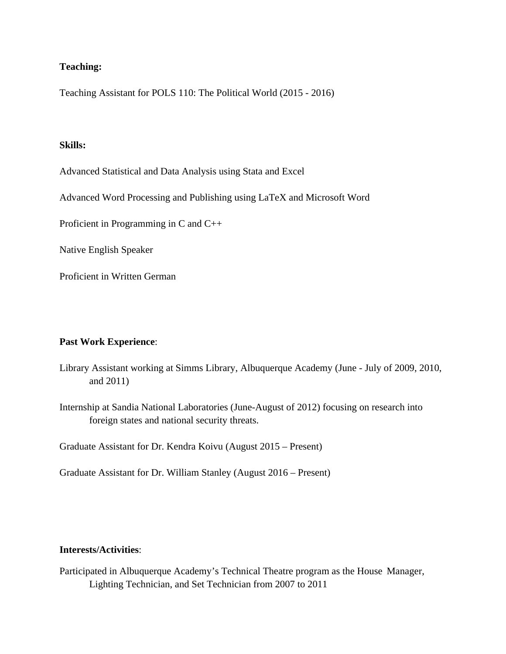# **Teaching:**

Teaching Assistant for POLS 110: The Political World (2015 - 2016)

### **Skills:**

Advanced Statistical and Data Analysis using Stata and Excel

Advanced Word Processing and Publishing using LaTeX and Microsoft Word

Proficient in Programming in C and C++

Native English Speaker

Proficient in Written German

# **Past Work Experience**:

- Library Assistant working at Simms Library, Albuquerque Academy (June July of 2009, 2010, and 2011)
- Internship at Sandia National Laboratories (June-August of 2012) focusing on research into foreign states and national security threats.

Graduate Assistant for Dr. Kendra Koivu (August 2015 – Present)

Graduate Assistant for Dr. William Stanley (August 2016 – Present)

# **Interests/Activities**:

Participated in Albuquerque Academy's Technical Theatre program as the House Manager, Lighting Technician, and Set Technician from 2007 to 2011